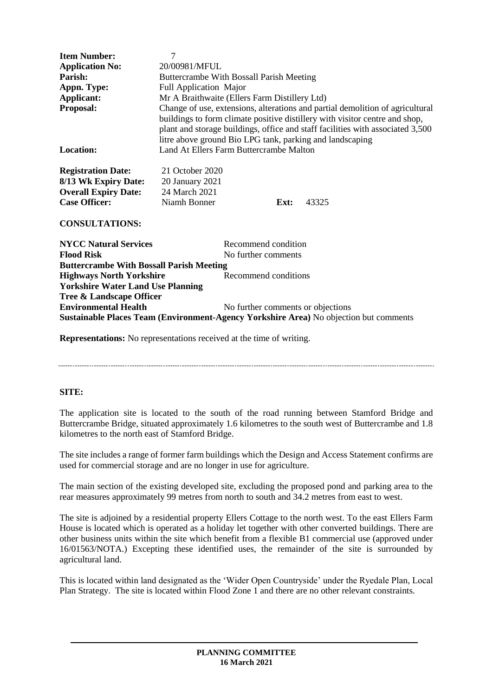| <b>Item Number:</b>                                                                   | 7                                                                                                                                                                                                                                                                                                          |                                   |      |       |
|---------------------------------------------------------------------------------------|------------------------------------------------------------------------------------------------------------------------------------------------------------------------------------------------------------------------------------------------------------------------------------------------------------|-----------------------------------|------|-------|
| <b>Application No:</b>                                                                | 20/00981/MFUL                                                                                                                                                                                                                                                                                              |                                   |      |       |
| Parish:                                                                               | Buttercrambe With Bossall Parish Meeting                                                                                                                                                                                                                                                                   |                                   |      |       |
| Appn. Type:                                                                           | <b>Full Application Major</b>                                                                                                                                                                                                                                                                              |                                   |      |       |
| Applicant:                                                                            | Mr A Braithwaite (Ellers Farm Distillery Ltd)                                                                                                                                                                                                                                                              |                                   |      |       |
| Proposal:                                                                             | Change of use, extensions, alterations and partial demolition of agricultural<br>buildings to form climate positive distillery with visitor centre and shop,<br>plant and storage buildings, office and staff facilities with associated 3,500<br>litre above ground Bio LPG tank, parking and landscaping |                                   |      |       |
| <b>Location:</b>                                                                      | Land At Ellers Farm Buttercrambe Malton                                                                                                                                                                                                                                                                    |                                   |      |       |
| <b>Registration Date:</b>                                                             | 21 October 2020                                                                                                                                                                                                                                                                                            |                                   |      |       |
| 8/13 Wk Expiry Date:                                                                  | 20 January 2021                                                                                                                                                                                                                                                                                            |                                   |      |       |
| <b>Overall Expiry Date:</b>                                                           | 24 March 2021                                                                                                                                                                                                                                                                                              |                                   |      |       |
| <b>Case Officer:</b>                                                                  | Niamh Bonner                                                                                                                                                                                                                                                                                               |                                   | Ext: | 43325 |
| <b>CONSULTATIONS:</b>                                                                 |                                                                                                                                                                                                                                                                                                            |                                   |      |       |
| <b>NYCC Natural Services</b>                                                          |                                                                                                                                                                                                                                                                                                            | Recommend condition               |      |       |
| <b>Flood Risk</b>                                                                     | No further comments                                                                                                                                                                                                                                                                                        |                                   |      |       |
| <b>Buttercrambe With Bossall Parish Meeting</b>                                       |                                                                                                                                                                                                                                                                                                            |                                   |      |       |
| <b>Highways North Yorkshire</b>                                                       |                                                                                                                                                                                                                                                                                                            | Recommend conditions              |      |       |
| <b>Yorkshire Water Land Use Planning</b>                                              |                                                                                                                                                                                                                                                                                                            |                                   |      |       |
| Tree & Landscape Officer                                                              |                                                                                                                                                                                                                                                                                                            |                                   |      |       |
| <b>Environmental Health</b>                                                           |                                                                                                                                                                                                                                                                                                            | No further comments or objections |      |       |
| Sustainable Places Team (Environment-Agency Yorkshire Area) No objection but comments |                                                                                                                                                                                                                                                                                                            |                                   |      |       |

**Representations:** No representations received at the time of writing.

#### 

#### **SITE:**

The application site is located to the south of the road running between Stamford Bridge and Buttercrambe Bridge, situated approximately 1.6 kilometres to the south west of Buttercrambe and 1.8 kilometres to the north east of Stamford Bridge.

The site includes a range of former farm buildings which the Design and Access Statement confirms are used for commercial storage and are no longer in use for agriculture.

The main section of the existing developed site, excluding the proposed pond and parking area to the rear measures approximately 99 metres from north to south and 34.2 metres from east to west.

The site is adjoined by a residential property Ellers Cottage to the north west. To the east Ellers Farm House is located which is operated as a holiday let together with other converted buildings. There are other business units within the site which benefit from a flexible B1 commercial use (approved under 16/01563/NOTA.) Excepting these identified uses, the remainder of the site is surrounded by agricultural land.

This is located within land designated as the 'Wider Open Countryside' under the Ryedale Plan, Local Plan Strategy. The site is located within Flood Zone 1 and there are no other relevant constraints.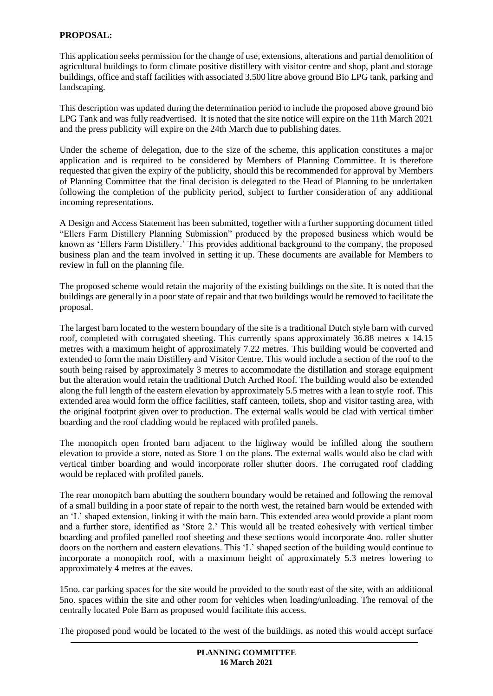## **PROPOSAL:**

This application seeks permission for the change of use, extensions, alterations and partial demolition of agricultural buildings to form climate positive distillery with visitor centre and shop, plant and storage buildings, office and staff facilities with associated 3,500 litre above ground Bio LPG tank, parking and landscaping.

This description was updated during the determination period to include the proposed above ground bio LPG Tank and was fully readvertised. It is noted that the site notice will expire on the 11th March 2021 and the press publicity will expire on the 24th March due to publishing dates.

Under the scheme of delegation, due to the size of the scheme, this application constitutes a major application and is required to be considered by Members of Planning Committee. It is therefore requested that given the expiry of the publicity, should this be recommended for approval by Members of Planning Committee that the final decision is delegated to the Head of Planning to be undertaken following the completion of the publicity period, subject to further consideration of any additional incoming representations.

A Design and Access Statement has been submitted, together with a further supporting document titled "Ellers Farm Distillery Planning Submission" produced by the proposed business which would be known as 'Ellers Farm Distillery.' This provides additional background to the company, the proposed business plan and the team involved in setting it up. These documents are available for Members to review in full on the planning file.

The proposed scheme would retain the majority of the existing buildings on the site. It is noted that the buildings are generally in a poor state of repair and that two buildings would be removed to facilitate the proposal.

The largest barn located to the western boundary of the site is a traditional Dutch style barn with curved roof, completed with corrugated sheeting. This currently spans approximately 36.88 metres x 14.15 metres with a maximum height of approximately 7.22 metres. This building would be converted and extended to form the main Distillery and Visitor Centre. This would include a section of the roof to the south being raised by approximately 3 metres to accommodate the distillation and storage equipment but the alteration would retain the traditional Dutch Arched Roof. The building would also be extended along the full length of the eastern elevation by approximately 5.5 metres with a lean to style roof. This extended area would form the office facilities, staff canteen, toilets, shop and visitor tasting area, with the original footprint given over to production. The external walls would be clad with vertical timber boarding and the roof cladding would be replaced with profiled panels.

The monopitch open fronted barn adjacent to the highway would be infilled along the southern elevation to provide a store, noted as Store 1 on the plans. The external walls would also be clad with vertical timber boarding and would incorporate roller shutter doors. The corrugated roof cladding would be replaced with profiled panels.

The rear monopitch barn abutting the southern boundary would be retained and following the removal of a small building in a poor state of repair to the north west, the retained barn would be extended with an 'L' shaped extension, linking it with the main barn. This extended area would provide a plant room and a further store, identified as 'Store 2.' This would all be treated cohesively with vertical timber boarding and profiled panelled roof sheeting and these sections would incorporate 4no. roller shutter doors on the northern and eastern elevations. This 'L' shaped section of the building would continue to incorporate a monopitch roof, with a maximum height of approximately 5.3 metres lowering to approximately 4 metres at the eaves.

15no. car parking spaces for the site would be provided to the south east of the site, with an additional 5no. spaces within the site and other room for vehicles when loading/unloading. The removal of the centrally located Pole Barn as proposed would facilitate this access.

The proposed pond would be located to the west of the buildings, as noted this would accept surface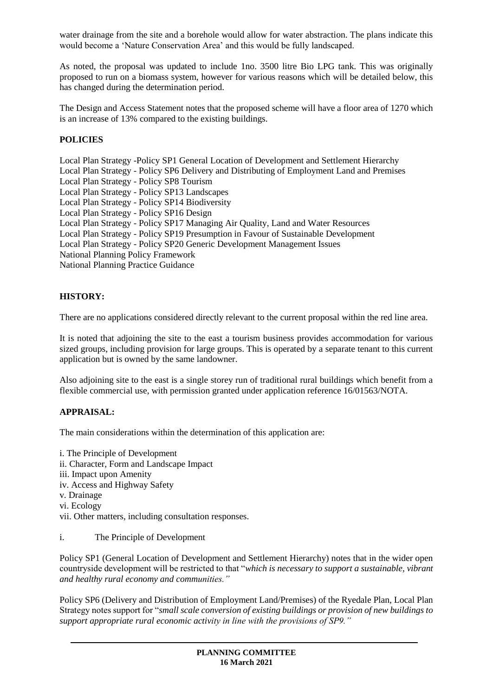water drainage from the site and a borehole would allow for water abstraction. The plans indicate this would become a 'Nature Conservation Area' and this would be fully landscaped.

As noted, the proposal was updated to include 1no. 3500 litre Bio LPG tank. This was originally proposed to run on a biomass system, however for various reasons which will be detailed below, this has changed during the determination period.

The Design and Access Statement notes that the proposed scheme will have a floor area of 1270 which is an increase of 13% compared to the existing buildings.

# **POLICIES**

Local Plan Strategy -Policy SP1 General Location of Development and Settlement Hierarchy Local Plan Strategy - Policy SP6 Delivery and Distributing of Employment Land and Premises Local Plan Strategy - Policy SP8 Tourism Local Plan Strategy - Policy SP13 Landscapes Local Plan Strategy - Policy SP14 Biodiversity Local Plan Strategy - Policy SP16 Design Local Plan Strategy - Policy SP17 Managing Air Quality, Land and Water Resources Local Plan Strategy - Policy SP19 Presumption in Favour of Sustainable Development Local Plan Strategy - Policy SP20 Generic Development Management Issues National Planning Policy Framework National Planning Practice Guidance

# **HISTORY:**

There are no applications considered directly relevant to the current proposal within the red line area.

It is noted that adjoining the site to the east a tourism business provides accommodation for various sized groups, including provision for large groups. This is operated by a separate tenant to this current application but is owned by the same landowner.

Also adjoining site to the east is a single storey run of traditional rural buildings which benefit from a flexible commercial use, with permission granted under application reference 16/01563/NOTA.

## **APPRAISAL:**

The main considerations within the determination of this application are:

- i. The Principle of Development ii. Character, Form and Landscape Impact iii. Impact upon Amenity iv. Access and Highway Safety v. Drainage vi. Ecology vii. Other matters, including consultation responses.
- i. The Principle of Development

Policy SP1 (General Location of Development and Settlement Hierarchy) notes that in the wider open countryside development will be restricted to that "*which is necessary to support a sustainable, vibrant and healthy rural economy and communities."*

Policy SP6 (Delivery and Distribution of Employment Land/Premises) of the Ryedale Plan, Local Plan Strategy notes support for "*small scale conversion of existing buildings or provision of new buildings to support appropriate rural economic activity in line with the provisions of SP9."*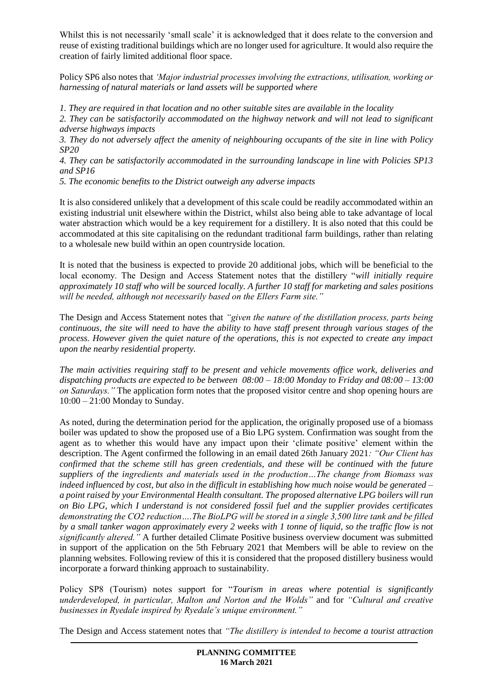Whilst this is not necessarily 'small scale' it is acknowledged that it does relate to the conversion and reuse of existing traditional buildings which are no longer used for agriculture. It would also require the creation of fairly limited additional floor space.

Policy SP6 also notes that *'Major industrial processes involving the extractions, utilisation, working or harnessing of natural materials or land assets will be supported where* 

*1. They are required in that location and no other suitable sites are available in the locality* 

*2. They can be satisfactorily accommodated on the highway network and will not lead to significant adverse highways impacts* 

*3. They do not adversely affect the amenity of neighbouring occupants of the site in line with Policy SP20* 

*4. They can be satisfactorily accommodated in the surrounding landscape in line with Policies SP13 and SP16* 

*5. The economic benefits to the District outweigh any adverse impacts*

It is also considered unlikely that a development of this scale could be readily accommodated within an existing industrial unit elsewhere within the District, whilst also being able to take advantage of local water abstraction which would be a key requirement for a distillery. It is also noted that this could be accommodated at this site capitalising on the redundant traditional farm buildings, rather than relating to a wholesale new build within an open countryside location.

It is noted that the business is expected to provide 20 additional jobs, which will be beneficial to the local economy. The Design and Access Statement notes that the distillery "*will initially require approximately 10 staff who will be sourced locally. A further 10 staff for marketing and sales positions will be needed, although not necessarily based on the Ellers Farm site."*

The Design and Access Statement notes that *"given the nature of the distillation process, parts being continuous, the site will need to have the ability to have staff present through various stages of the process. However given the quiet nature of the operations, this is not expected to create any impact upon the nearby residential property.* 

*The main activities requiring staff to be present and vehicle movements office work, deliveries and dispatching products are expected to be between 08:00 – 18:00 Monday to Friday and 08:00 – 13:00 on Saturdays."* The application form notes that the proposed visitor centre and shop opening hours are 10:00 – 21:00 Monday to Sunday.

As noted, during the determination period for the application, the originally proposed use of a biomass boiler was updated to show the proposed use of a Bio LPG system. Confirmation was sought from the agent as to whether this would have any impact upon their 'climate positive' element within the description. The Agent confirmed the following in an email dated 26th January 2021*: "Our Client has confirmed that the scheme still has green credentials, and these will be continued with the future suppliers of the ingredients and materials used in the production…The change from Biomass was indeed influenced by cost, but also in the difficult in establishing how much noise would be generated – a point raised by your Environmental Health consultant. The proposed alternative LPG boilers will run on Bio LPG, which I understand is not considered fossil fuel and the supplier provides certificates demonstrating the CO2 reduction….The BioLPG will be stored in a single 3,500 litre tank and be filled by a small tanker wagon approximately every 2 weeks with 1 tonne of liquid, so the traffic flow is not significantly altered."* A further detailed Climate Positive business overview document was submitted in support of the application on the 5th February 2021 that Members will be able to review on the planning websites. Following review of this it is considered that the proposed distillery business would incorporate a forward thinking approach to sustainability.

Policy SP8 (Tourism) notes support for "*Tourism in areas where potential is significantly underdeveloped, in particular, Malton and Norton and the Wolds"* and for *"Cultural and creative businesses in Ryedale inspired by Ryedale's unique environment."* 

The Design and Access statement notes that *"The distillery is intended to become a tourist attraction*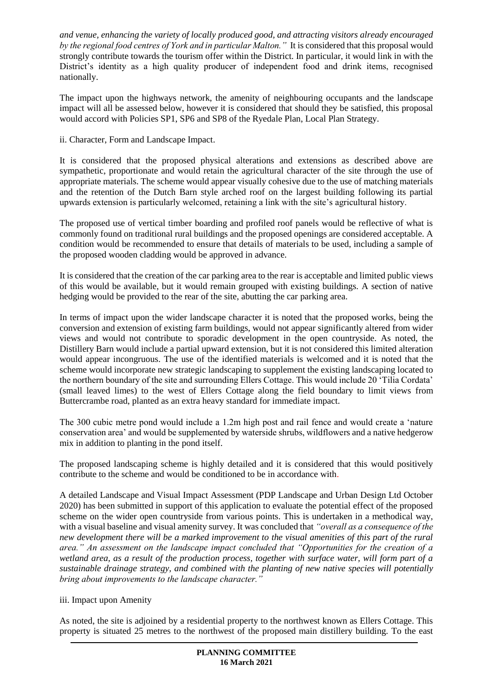*and venue, enhancing the variety of locally produced good, and attracting visitors already encouraged by the regional food centres of York and in particular Malton."* It is considered that this proposal would strongly contribute towards the tourism offer within the District. In particular, it would link in with the District's identity as a high quality producer of independent food and drink items, recognised nationally.

The impact upon the highways network, the amenity of neighbouring occupants and the landscape impact will all be assessed below, however it is considered that should they be satisfied, this proposal would accord with Policies SP1, SP6 and SP8 of the Ryedale Plan, Local Plan Strategy.

ii. Character, Form and Landscape Impact.

It is considered that the proposed physical alterations and extensions as described above are sympathetic, proportionate and would retain the agricultural character of the site through the use of appropriate materials. The scheme would appear visually cohesive due to the use of matching materials and the retention of the Dutch Barn style arched roof on the largest building following its partial upwards extension is particularly welcomed, retaining a link with the site's agricultural history.

The proposed use of vertical timber boarding and profiled roof panels would be reflective of what is commonly found on traditional rural buildings and the proposed openings are considered acceptable. A condition would be recommended to ensure that details of materials to be used, including a sample of the proposed wooden cladding would be approved in advance.

It is considered that the creation of the car parking area to the rear is acceptable and limited public views of this would be available, but it would remain grouped with existing buildings. A section of native hedging would be provided to the rear of the site, abutting the car parking area.

In terms of impact upon the wider landscape character it is noted that the proposed works, being the conversion and extension of existing farm buildings, would not appear significantly altered from wider views and would not contribute to sporadic development in the open countryside. As noted, the Distillery Barn would include a partial upward extension, but it is not considered this limited alteration would appear incongruous. The use of the identified materials is welcomed and it is noted that the scheme would incorporate new strategic landscaping to supplement the existing landscaping located to the northern boundary of the site and surrounding Ellers Cottage. This would include 20 'Tilia Cordata' (small leaved limes) to the west of Ellers Cottage along the field boundary to limit views from Buttercrambe road, planted as an extra heavy standard for immediate impact.

The 300 cubic metre pond would include a 1.2m high post and rail fence and would create a 'nature conservation area' and would be supplemented by waterside shrubs, wildflowers and a native hedgerow mix in addition to planting in the pond itself.

The proposed landscaping scheme is highly detailed and it is considered that this would positively contribute to the scheme and would be conditioned to be in accordance with.

A detailed Landscape and Visual Impact Assessment (PDP Landscape and Urban Design Ltd October 2020) has been submitted in support of this application to evaluate the potential effect of the proposed scheme on the wider open countryside from various points. This is undertaken in a methodical way, with a visual baseline and visual amenity survey. It was concluded that *"overall as a consequence of the new development there will be a marked improvement to the visual amenities of this part of the rural area." An assessment on the landscape impact concluded that "Opportunities for the creation of a wetland area, as a result of the production process, together with surface water, will form part of a sustainable drainage strategy, and combined with the planting of new native species will potentially bring about improvements to the landscape character."*

## iii. Impact upon Amenity

As noted, the site is adjoined by a residential property to the northwest known as Ellers Cottage. This property is situated 25 metres to the northwest of the proposed main distillery building. To the east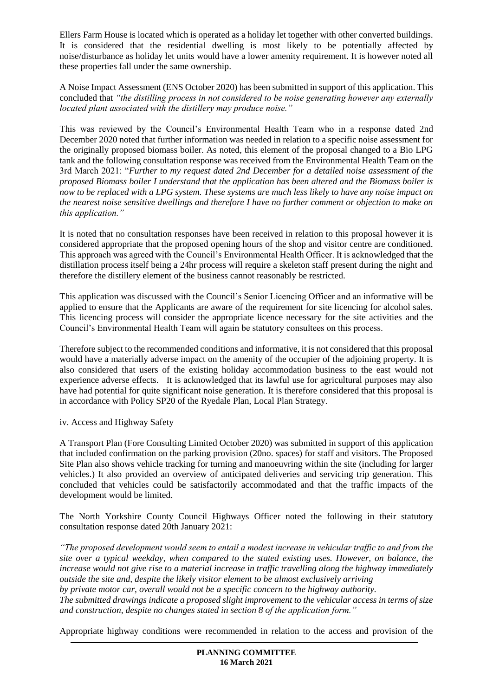Ellers Farm House is located which is operated as a holiday let together with other converted buildings. It is considered that the residential dwelling is most likely to be potentially affected by noise/disturbance as holiday let units would have a lower amenity requirement. It is however noted all these properties fall under the same ownership.

A Noise Impact Assessment (ENS October 2020) has been submitted in support of this application. This concluded that *"the distilling process in not considered to be noise generating however any externally located plant associated with the distillery may produce noise."*

This was reviewed by the Council's Environmental Health Team who in a response dated 2nd December 2020 noted that further information was needed in relation to a specific noise assessment for the originally proposed biomass boiler. As noted, this element of the proposal changed to a Bio LPG tank and the following consultation response was received from the Environmental Health Team on the 3rd March 2021: "*Further to my request dated 2nd December for a detailed noise assessment of the proposed Biomass boiler I understand that the application has been altered and the Biomass boiler is now to be replaced with a LPG system. These systems are much less likely to have any noise impact on the nearest noise sensitive dwellings and therefore I have no further comment or objection to make on this application."*

It is noted that no consultation responses have been received in relation to this proposal however it is considered appropriate that the proposed opening hours of the shop and visitor centre are conditioned. This approach was agreed with the Council's Environmental Health Officer. It is acknowledged that the distillation process itself being a 24hr process will require a skeleton staff present during the night and therefore the distillery element of the business cannot reasonably be restricted.

This application was discussed with the Council's Senior Licencing Officer and an informative will be applied to ensure that the Applicants are aware of the requirement for site licencing for alcohol sales. This licencing process will consider the appropriate licence necessary for the site activities and the Council's Environmental Health Team will again be statutory consultees on this process.

Therefore subject to the recommended conditions and informative, it is not considered that this proposal would have a materially adverse impact on the amenity of the occupier of the adjoining property. It is also considered that users of the existing holiday accommodation business to the east would not experience adverse effects. It is acknowledged that its lawful use for agricultural purposes may also have had potential for quite significant noise generation. It is therefore considered that this proposal is in accordance with Policy SP20 of the Ryedale Plan, Local Plan Strategy.

iv. Access and Highway Safety

A Transport Plan (Fore Consulting Limited October 2020) was submitted in support of this application that included confirmation on the parking provision (20no. spaces) for staff and visitors. The Proposed Site Plan also shows vehicle tracking for turning and manoeuvring within the site (including for larger vehicles.) It also provided an overview of anticipated deliveries and servicing trip generation. This concluded that vehicles could be satisfactorily accommodated and that the traffic impacts of the development would be limited.

The North Yorkshire County Council Highways Officer noted the following in their statutory consultation response dated 20th January 2021:

*"The proposed development would seem to entail a modest increase in vehicular traffic to and from the site over a typical weekday, when compared to the stated existing uses. However, on balance, the increase would not give rise to a material increase in traffic travelling along the highway immediately outside the site and, despite the likely visitor element to be almost exclusively arriving*

*by private motor car, overall would not be a specific concern to the highway authority.*

*The submitted drawings indicate a proposed slight improvement to the vehicular access in terms of size and construction, despite no changes stated in section 8 of the application form."* 

Appropriate highway conditions were recommended in relation to the access and provision of the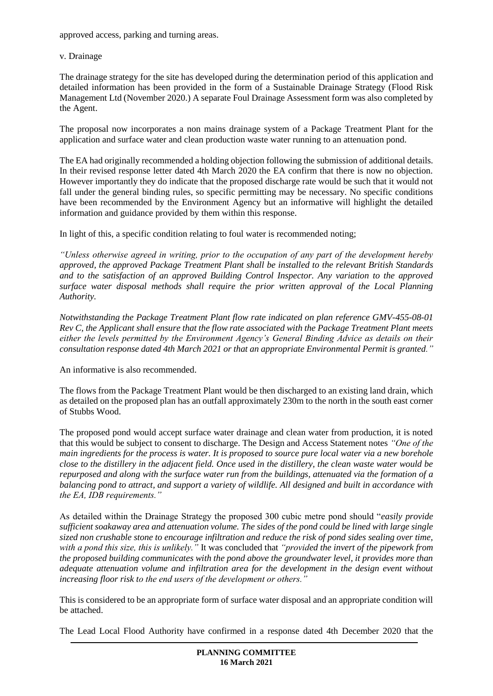approved access, parking and turning areas.

v. Drainage

The drainage strategy for the site has developed during the determination period of this application and detailed information has been provided in the form of a Sustainable Drainage Strategy (Flood Risk Management Ltd (November 2020.) A separate Foul Drainage Assessment form was also completed by the Agent.

The proposal now incorporates a non mains drainage system of a Package Treatment Plant for the application and surface water and clean production waste water running to an attenuation pond.

The EA had originally recommended a holding objection following the submission of additional details. In their revised response letter dated 4th March 2020 the EA confirm that there is now no objection. However importantly they do indicate that the proposed discharge rate would be such that it would not fall under the general binding rules, so specific permitting may be necessary. No specific conditions have been recommended by the Environment Agency but an informative will highlight the detailed information and guidance provided by them within this response.

In light of this, a specific condition relating to foul water is recommended noting;

*"Unless otherwise agreed in writing, prior to the occupation of any part of the development hereby approved, the approved Package Treatment Plant shall be installed to the relevant British Standards and to the satisfaction of an approved Building Control Inspector. Any variation to the approved surface water disposal methods shall require the prior written approval of the Local Planning Authority.*

*Notwithstanding the Package Treatment Plant flow rate indicated on plan reference GMV-455-08-01 Rev C, the Applicant shall ensure that the flow rate associated with the Package Treatment Plant meets either the levels permitted by the Environment Agency's General Binding Advice as details on their consultation response dated 4th March 2021 or that an appropriate Environmental Permit is granted."*

An informative is also recommended.

The flows from the Package Treatment Plant would be then discharged to an existing land drain, which as detailed on the proposed plan has an outfall approximately 230m to the north in the south east corner of Stubbs Wood.

The proposed pond would accept surface water drainage and clean water from production, it is noted that this would be subject to consent to discharge. The Design and Access Statement notes *"One of the main ingredients for the process is water. It is proposed to source pure local water via a new borehole close to the distillery in the adjacent field. Once used in the distillery, the clean waste water would be repurposed and along with the surface water run from the buildings, attenuated via the formation of a balancing pond to attract, and support a variety of wildlife. All designed and built in accordance with the EA, IDB requirements."*

As detailed within the Drainage Strategy the proposed 300 cubic metre pond should "*easily provide sufficient soakaway area and attenuation volume. The sides of the pond could be lined with large single sized non crushable stone to encourage infiltration and reduce the risk of pond sides sealing over time, with a pond this size, this is unlikely."* It was concluded that *"provided the invert of the pipework from the proposed building communicates with the pond above the groundwater level, it provides more than adequate attenuation volume and infiltration area for the development in the design event without increasing floor risk to the end users of the development or others."*

This is considered to be an appropriate form of surface water disposal and an appropriate condition will be attached.

The Lead Local Flood Authority have confirmed in a response dated 4th December 2020 that the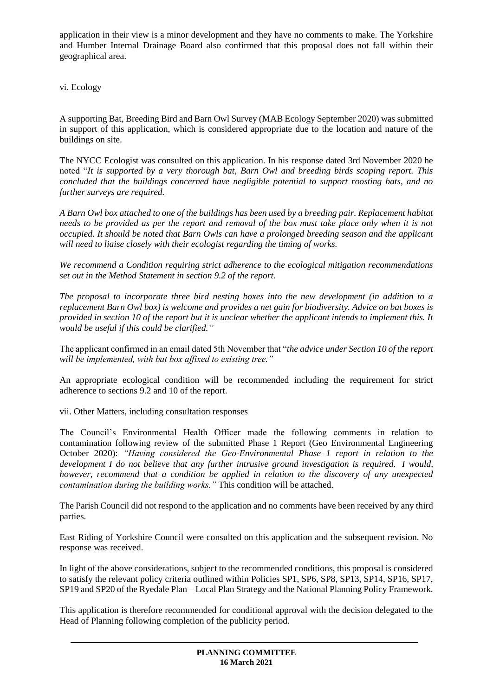application in their view is a minor development and they have no comments to make. The Yorkshire and Humber Internal Drainage Board also confirmed that this proposal does not fall within their geographical area.

vi. Ecology

A supporting Bat, Breeding Bird and Barn Owl Survey (MAB Ecology September 2020) was submitted in support of this application, which is considered appropriate due to the location and nature of the buildings on site.

The NYCC Ecologist was consulted on this application. In his response dated 3rd November 2020 he noted "*It is supported by a very thorough bat, Barn Owl and breeding birds scoping report. This concluded that the buildings concerned have negligible potential to support roosting bats, and no further surveys are required.*

*A Barn Owl box attached to one of the buildings has been used by a breeding pair. Replacement habitat needs to be provided as per the report and removal of the box must take place only when it is not occupied. It should be noted that Barn Owls can have a prolonged breeding season and the applicant will need to liaise closely with their ecologist regarding the timing of works.*

*We recommend a Condition requiring strict adherence to the ecological mitigation recommendations set out in the Method Statement in section 9.2 of the report.*

*The proposal to incorporate three bird nesting boxes into the new development (in addition to a replacement Barn Owl box) is welcome and provides a net gain for biodiversity. Advice on bat boxes is provided in section 10 of the report but it is unclear whether the applicant intends to implement this. It would be useful if this could be clarified."*

The applicant confirmed in an email dated 5th November that "*the advice under Section 10 of the report will be implemented, with bat box affixed to existing tree."*

An appropriate ecological condition will be recommended including the requirement for strict adherence to sections 9.2 and 10 of the report.

vii. Other Matters, including consultation responses

The Council's Environmental Health Officer made the following comments in relation to contamination following review of the submitted Phase 1 Report (Geo Environmental Engineering October 2020): *"Having considered the Geo-Environmental Phase 1 report in relation to the development I do not believe that any further intrusive ground investigation is required. I would, however, recommend that a condition be applied in relation to the discovery of any unexpected contamination during the building works."* This condition will be attached.

The Parish Council did not respond to the application and no comments have been received by any third parties.

East Riding of Yorkshire Council were consulted on this application and the subsequent revision. No response was received.

In light of the above considerations, subject to the recommended conditions, this proposal is considered to satisfy the relevant policy criteria outlined within Policies SP1, SP6, SP8, SP13, SP14, SP16, SP17, SP19 and SP20 of the Ryedale Plan – Local Plan Strategy and the National Planning Policy Framework.

This application is therefore recommended for conditional approval with the decision delegated to the Head of Planning following completion of the publicity period.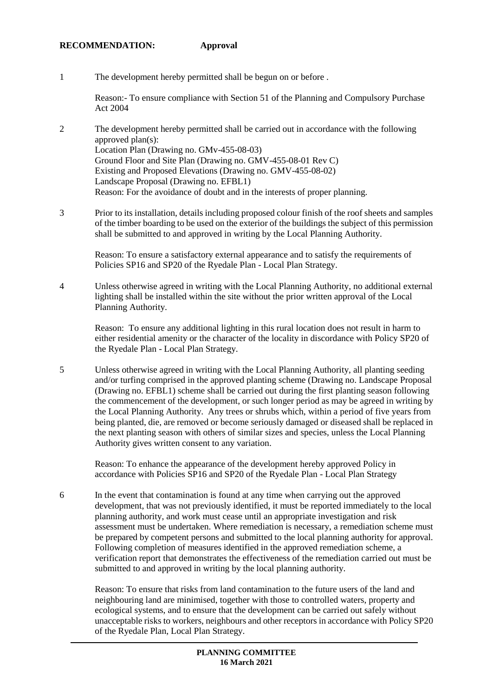#### **RECOMMENDATION: Approval**

1 The development hereby permitted shall be begun on or before .

Reason:- To ensure compliance with Section 51 of the Planning and Compulsory Purchase Act 2004

- 2 The development hereby permitted shall be carried out in accordance with the following approved plan(s): Location Plan (Drawing no. GMv-455-08-03) Ground Floor and Site Plan (Drawing no. GMV-455-08-01 Rev C) Existing and Proposed Elevations (Drawing no. GMV-455-08-02) Landscape Proposal (Drawing no. EFBL1) Reason: For the avoidance of doubt and in the interests of proper planning.
- 3 Prior to its installation, details including proposed colour finish of the roof sheets and samples of the timber boarding to be used on the exterior of the buildings the subject of this permission shall be submitted to and approved in writing by the Local Planning Authority.

Reason: To ensure a satisfactory external appearance and to satisfy the requirements of Policies SP16 and SP20 of the Ryedale Plan - Local Plan Strategy.

4 Unless otherwise agreed in writing with the Local Planning Authority, no additional external lighting shall be installed within the site without the prior written approval of the Local Planning Authority.

Reason: To ensure any additional lighting in this rural location does not result in harm to either residential amenity or the character of the locality in discordance with Policy SP20 of the Ryedale Plan - Local Plan Strategy.

5 Unless otherwise agreed in writing with the Local Planning Authority, all planting seeding and/or turfing comprised in the approved planting scheme (Drawing no. Landscape Proposal (Drawing no. EFBL1) scheme shall be carried out during the first planting season following the commencement of the development, or such longer period as may be agreed in writing by the Local Planning Authority. Any trees or shrubs which, within a period of five years from being planted, die, are removed or become seriously damaged or diseased shall be replaced in the next planting season with others of similar sizes and species, unless the Local Planning Authority gives written consent to any variation.

Reason: To enhance the appearance of the development hereby approved Policy in accordance with Policies SP16 and SP20 of the Ryedale Plan - Local Plan Strategy

6 In the event that contamination is found at any time when carrying out the approved development, that was not previously identified, it must be reported immediately to the local planning authority, and work must cease until an appropriate investigation and risk assessment must be undertaken. Where remediation is necessary, a remediation scheme must be prepared by competent persons and submitted to the local planning authority for approval. Following completion of measures identified in the approved remediation scheme, a verification report that demonstrates the effectiveness of the remediation carried out must be submitted to and approved in writing by the local planning authority.

Reason: To ensure that risks from land contamination to the future users of the land and neighbouring land are minimised, together with those to controlled waters, property and ecological systems, and to ensure that the development can be carried out safely without unacceptable risks to workers, neighbours and other receptors in accordance with Policy SP20 of the Ryedale Plan, Local Plan Strategy.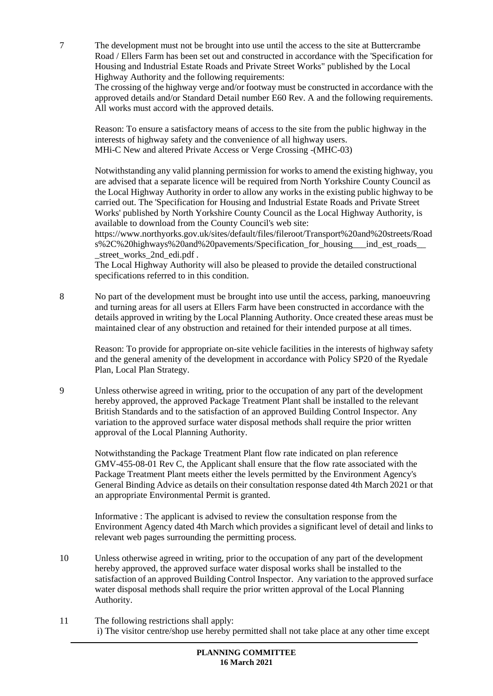7 The development must not be brought into use until the access to the site at Buttercrambe Road / Ellers Farm has been set out and constructed in accordance with the 'Specification for Housing and Industrial Estate Roads and Private Street Works" published by the Local Highway Authority and the following requirements:

The crossing of the highway verge and/or footway must be constructed in accordance with the approved details and/or Standard Detail number E60 Rev. A and the following requirements. All works must accord with the approved details.

Reason: To ensure a satisfactory means of access to the site from the public highway in the interests of highway safety and the convenience of all highway users. MHi-C New and altered Private Access or Verge Crossing -(MHC-03)

Notwithstanding any valid planning permission for works to amend the existing highway, you are advised that a separate licence will be required from North Yorkshire County Council as the Local Highway Authority in order to allow any works in the existing public highway to be carried out. The 'Specification for Housing and Industrial Estate Roads and Private Street Works' published by North Yorkshire County Council as the Local Highway Authority, is available to download from the County Council's web site:

https://www.northyorks.gov.uk/sites/default/files/fileroot/Transport%20and%20streets/Road s%2C%20highways%20and%20pavements/Specification for housing indest roads \_street\_works\_2nd\_edi.pdf .

The Local Highway Authority will also be pleased to provide the detailed constructional specifications referred to in this condition.

8 No part of the development must be brought into use until the access, parking, manoeuvring and turning areas for all users at Ellers Farm have been constructed in accordance with the details approved in writing by the Local Planning Authority. Once created these areas must be maintained clear of any obstruction and retained for their intended purpose at all times.

Reason: To provide for appropriate on-site vehicle facilities in the interests of highway safety and the general amenity of the development in accordance with Policy SP20 of the Ryedale Plan, Local Plan Strategy.

9 Unless otherwise agreed in writing, prior to the occupation of any part of the development hereby approved, the approved Package Treatment Plant shall be installed to the relevant British Standards and to the satisfaction of an approved Building Control Inspector. Any variation to the approved surface water disposal methods shall require the prior written approval of the Local Planning Authority.

Notwithstanding the Package Treatment Plant flow rate indicated on plan reference GMV-455-08-01 Rev C, the Applicant shall ensure that the flow rate associated with the Package Treatment Plant meets either the levels permitted by the Environment Agency's General Binding Advice as details on their consultation response dated 4th March 2021 or that an appropriate Environmental Permit is granted.

Informative : The applicant is advised to review the consultation response from the Environment Agency dated 4th March which provides a significant level of detail and links to relevant web pages surrounding the permitting process.

- 10 Unless otherwise agreed in writing, prior to the occupation of any part of the development hereby approved, the approved surface water disposal works shall be installed to the satisfaction of an approved Building Control Inspector. Any variation to the approved surface water disposal methods shall require the prior written approval of the Local Planning Authority.
- 11 The following restrictions shall apply: i) The visitor centre/shop use hereby permitted shall not take place at any other time except